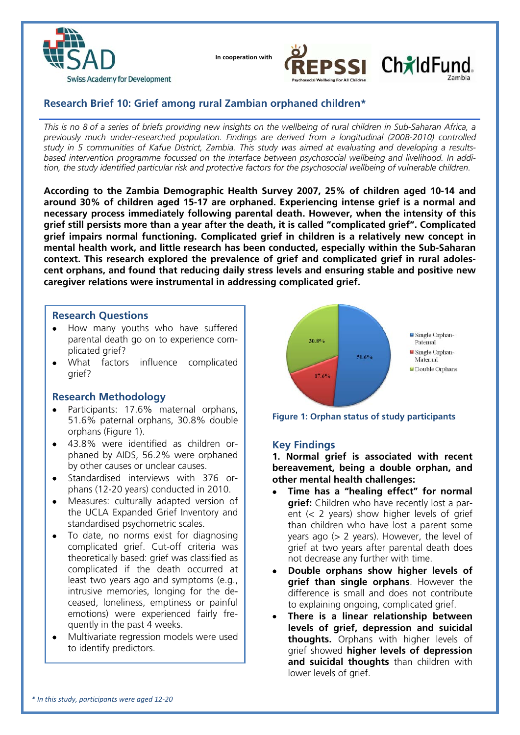

 **In cooperation with**





# **Research Brief 10: Grief among rural Zambian orphaned children\***

*This is no 8 of a series of briefs providing new insights on the wellbeing of rural children in Sub-Saharan Africa, a previously much under-researched population. Findings are derived from a longitudinal (2008-2010) controlled study in 5 communities of Kafue District, Zambia. This study was aimed at evaluating and developing a resultsbased intervention programme focussed on the interface between psychosocial wellbeing and livelihood. In addition, the study identified particular risk and protective factors for the psychosocial wellbeing of vulnerable children.*

**According to the Zambia Demographic Health Survey 2007, 25% of children aged 10-14 and around 30% of children aged 15-17 are orphaned. Experiencing intense grief is a normal and necessary process immediately following parental death. However, when the intensity of this grief still persists more than a year after the death, it is called "complicated grief". Complicated grief impairs normal functioning. Complicated grief in children is a relatively new concept in mental health work, and little research has been conducted, especially within the Sub-Saharan context. This research explored the prevalence of grief and complicated grief in rural adolescent orphans, and found that reducing daily stress levels and ensuring stable and positive new caregiver relations were instrumental in addressing complicated grief.** 

## **Research Questions**

- How many youths who have suffered parental death go on to experience complicated grief?
- What factors influence complicated grief?

## **Research Methodology**

- Participants: 17.6% maternal orphans, 51.6% paternal orphans, 30.8% double orphans (Figure 1).
- 43.8% were identified as children orphaned by AIDS, 56.2% were orphaned by other causes or unclear causes.
- Standardised interviews with 376 orphans (12-20 years) conducted in 2010.
- Measures: culturally adapted version of the UCLA Expanded Grief Inventory and standardised psychometric scales.
- To date, no norms exist for diagnosing complicated grief. Cut-off criteria was theoretically based: grief was classified as complicated if the death occurred at least two years ago and symptoms (e.g., intrusive memories, longing for the deceased, loneliness, emptiness or painful emotions) were experienced fairly frequently in the past 4 weeks.
- Multivariate regression models were used to identify predictors.



**Figure 1: Orphan status of study participants** 

## **Key Findings**

**1. Normal grief is associated with recent bereavement, being a double orphan, and other mental health challenges:** 

- **Time has a "healing effect" for normal grief:** Children who have recently lost a parent (< 2 years) show higher levels of grief than children who have lost a parent some years ago  $(> 2$  years). However, the level of grief at two years after parental death does not decrease any further with time.
- **Double orphans show higher levels of grief than single orphans**. However the difference is small and does not contribute to explaining ongoing, complicated grief.
- **There is a linear relationship between levels of grief, depression and suicidal thoughts.** Orphans with higher levels of grief showed **higher levels of depression and suicidal thoughts** than children with lower levels of grief.